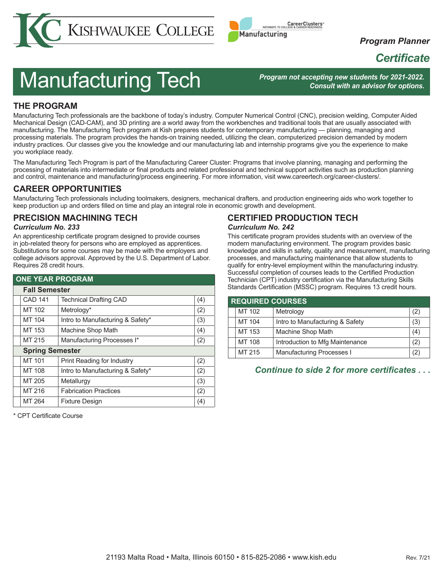



*Program Planner*

# *Certificate*

# Manufacturing Tech

*Program not accepting new students for 2021-2022. Consult with an advisor for options.*

# **THE PROGRAM**

Manufacturing Tech professionals are the backbone of today's industry. Computer Numerical Control (CNC), precision welding, Computer Aided Mechanical Design (CAD-CAM), and 3D printing are a world away from the workbenches and traditional tools that are usually associated with manufacturing. The Manufacturing Tech program at Kish prepares students for contemporary manufacturing — planning, managing and processing materials. The program provides the hands-on training needed, utilizing the clean, computerized precision demanded by modern industry practices. Our classes give you the knowledge and our manufacturing lab and internship programs give you the experience to make you workplace ready.

The Manufacturing Tech Program is part of the Manufacturing Career Cluster: Programs that involve planning, managing and performing the processing of materials into intermediate or final products and related professional and technical support activities such as production planning and control, maintenance and manufacturing/process engineering. For more information, visit www.careertech.org/career-clusters/.

## **CAREER OPPORTUNITIES**

Manufacturing Tech professionals including toolmakers, designers, mechanical drafters, and production engineering aids who work together to keep production up and orders filled on time and play an integral role in economic growth and development.

# **PRECISION MACHINING TECH**

#### *Curriculum No. 233*

An apprenticeship certificate program designed to provide courses in job-related theory for persons who are employed as apprentices. Substitutions for some courses may be made with the employers and college advisors approval. Approved by the U.S. Department of Labor. Requires 28 credit hours.

| <b>ONE YEAR PROGRAM</b> |                        |                                  |     |  |
|-------------------------|------------------------|----------------------------------|-----|--|
|                         | <b>Fall Semester</b>   |                                  |     |  |
|                         | <b>CAD 141</b>         | <b>Technical Drafting CAD</b>    | (4) |  |
|                         | MT 102                 | Metrology*                       | (2) |  |
|                         | MT 104                 | Intro to Manufacturing & Safety* | (3) |  |
|                         | MT 153                 | Machine Shop Math                | (4) |  |
|                         | MT 215                 | Manufacturing Processes I*       | (2) |  |
|                         | <b>Spring Semester</b> |                                  |     |  |
|                         | MT 101                 | Print Reading for Industry       | (2) |  |
|                         | MT 108                 | Intro to Manufacturing & Safety* | (2) |  |
|                         | MT 205                 | Metallurgy                       | (3) |  |
|                         | MT 216                 | <b>Fabrication Practices</b>     | (2) |  |
|                         | MT 264                 | <b>Fixture Design</b>            | (4) |  |

\* CPT Certificate Course

## **CERTIFIED PRODUCTION TECH** *Curriculum No. 242*

This certificate program provides students with an overview of the modern manufacturing environment. The program provides basic knowledge and skills in safety, quality and measurement, manufacturing processes, and manufacturing maintenance that allow students to qualify for entry-level employment within the manufacturing industry. Successful completion of courses leads to the Certified Production Technician (CPT) industry certification via the Manufacturing Skills Standards Certification (MSSC) program. Requires 13 credit hours.

| <b>REQUIRED COURSES</b> |        |                                 |     |
|-------------------------|--------|---------------------------------|-----|
|                         | MT 102 | Metrology                       | (2) |
|                         | MT 104 | Intro to Manufacturing & Safety | (3) |
|                         | MT 153 | Machine Shop Math               | (4) |
|                         | MT 108 | Introduction to Mfg Maintenance | (2) |
|                         | MT 215 | Manufacturing Processes I       | (2) |

## *Continue to side 2 for more certificates . . .*